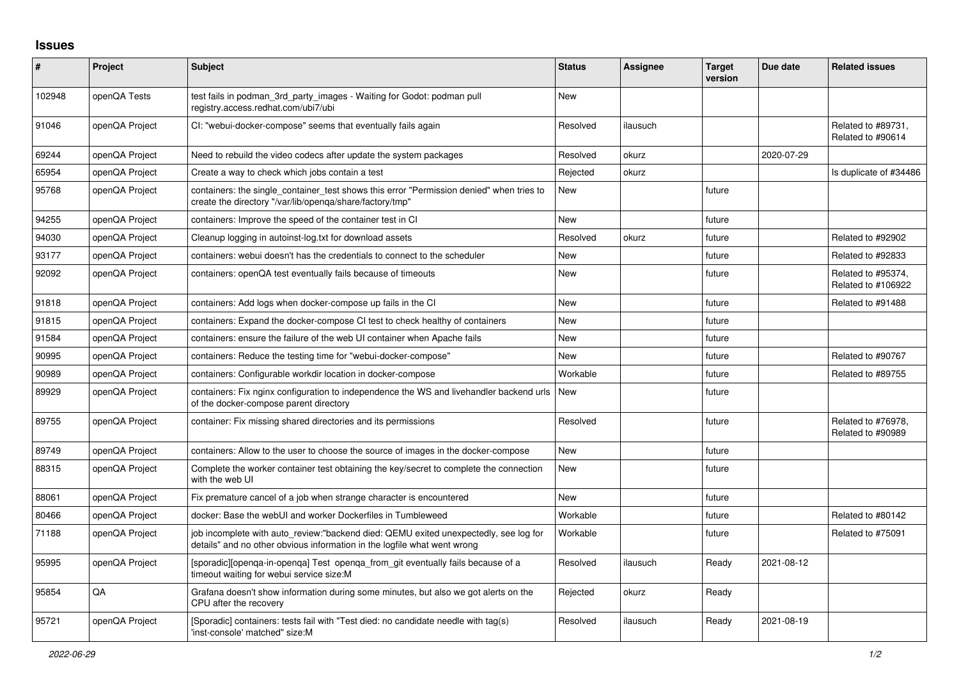## **Issues**

| #      | Project        | <b>Subject</b>                                                                                                                                                   | <b>Status</b> | <b>Assignee</b> | <b>Target</b><br>version | Due date   | <b>Related issues</b>                    |
|--------|----------------|------------------------------------------------------------------------------------------------------------------------------------------------------------------|---------------|-----------------|--------------------------|------------|------------------------------------------|
| 102948 | openQA Tests   | test fails in podman_3rd_party_images - Waiting for Godot: podman pull<br>registry.access.redhat.com/ubi7/ubi                                                    | <b>New</b>    |                 |                          |            |                                          |
| 91046  | openQA Project | CI: "webui-docker-compose" seems that eventually fails again                                                                                                     | Resolved      | ilausuch        |                          |            | Related to #89731,<br>Related to #90614  |
| 69244  | openQA Project | Need to rebuild the video codecs after update the system packages                                                                                                | Resolved      | okurz           |                          | 2020-07-29 |                                          |
| 65954  | openQA Project | Create a way to check which jobs contain a test                                                                                                                  | Rejected      | okurz           |                          |            | Is duplicate of #34486                   |
| 95768  | openQA Project | containers: the single_container_test shows this error "Permission denied" when tries to<br>create the directory "/var/lib/openqa/share/factory/tmp"             | <b>New</b>    |                 | future                   |            |                                          |
| 94255  | openQA Project | containers: Improve the speed of the container test in CI                                                                                                        | <b>New</b>    |                 | future                   |            |                                          |
| 94030  | openQA Project | Cleanup logging in autoinst-log.txt for download assets                                                                                                          | Resolved      | okurz           | future                   |            | Related to #92902                        |
| 93177  | openQA Project | containers: webui doesn't has the credentials to connect to the scheduler                                                                                        | <b>New</b>    |                 | future                   |            | Related to #92833                        |
| 92092  | openQA Project | containers: openQA test eventually fails because of timeouts                                                                                                     | <b>New</b>    |                 | future                   |            | Related to #95374,<br>Related to #106922 |
| 91818  | openQA Project | containers: Add logs when docker-compose up fails in the CI                                                                                                      | <b>New</b>    |                 | future                   |            | Related to #91488                        |
| 91815  | openQA Project | containers: Expand the docker-compose CI test to check healthy of containers                                                                                     | <b>New</b>    |                 | future                   |            |                                          |
| 91584  | openQA Project | containers: ensure the failure of the web UI container when Apache fails                                                                                         | New           |                 | future                   |            |                                          |
| 90995  | openQA Project | containers: Reduce the testing time for "webui-docker-compose"                                                                                                   | <b>New</b>    |                 | future                   |            | Related to #90767                        |
| 90989  | openQA Project | containers: Configurable workdir location in docker-compose                                                                                                      | Workable      |                 | future                   |            | Related to #89755                        |
| 89929  | openQA Project | containers: Fix nginx configuration to independence the WS and livehandler backend urls<br>of the docker-compose parent directory                                | <b>New</b>    |                 | future                   |            |                                          |
| 89755  | openQA Project | container: Fix missing shared directories and its permissions                                                                                                    | Resolved      |                 | future                   |            | Related to #76978,<br>Related to #90989  |
| 89749  | openQA Project | containers: Allow to the user to choose the source of images in the docker-compose                                                                               | <b>New</b>    |                 | future                   |            |                                          |
| 88315  | openQA Project | Complete the worker container test obtaining the key/secret to complete the connection<br>with the web UI                                                        | <b>New</b>    |                 | future                   |            |                                          |
| 88061  | openQA Project | Fix premature cancel of a job when strange character is encountered                                                                                              | <b>New</b>    |                 | future                   |            |                                          |
| 80466  | openQA Project | docker: Base the webUI and worker Dockerfiles in Tumbleweed                                                                                                      | Workable      |                 | future                   |            | Related to #80142                        |
| 71188  | openQA Project | job incomplete with auto review:"backend died: QEMU exited unexpectedly, see log for<br>details" and no other obvious information in the logfile what went wrong | Workable      |                 | future                   |            | Related to #75091                        |
| 95995  | openQA Project | [sporadic][openqa-in-openqa] Test openqa_from_git eventually fails because of a<br>timeout waiting for webui service size:M                                      | Resolved      | ilausuch        | Ready                    | 2021-08-12 |                                          |
| 95854  | QA             | Grafana doesn't show information during some minutes, but also we got alerts on the<br>CPU after the recovery                                                    | Rejected      | okurz           | Ready                    |            |                                          |
| 95721  | openQA Project | [Sporadic] containers: tests fail with "Test died: no candidate needle with tag(s)<br>'inst-console' matched" size:M                                             | Resolved      | ilausuch        | Ready                    | 2021-08-19 |                                          |